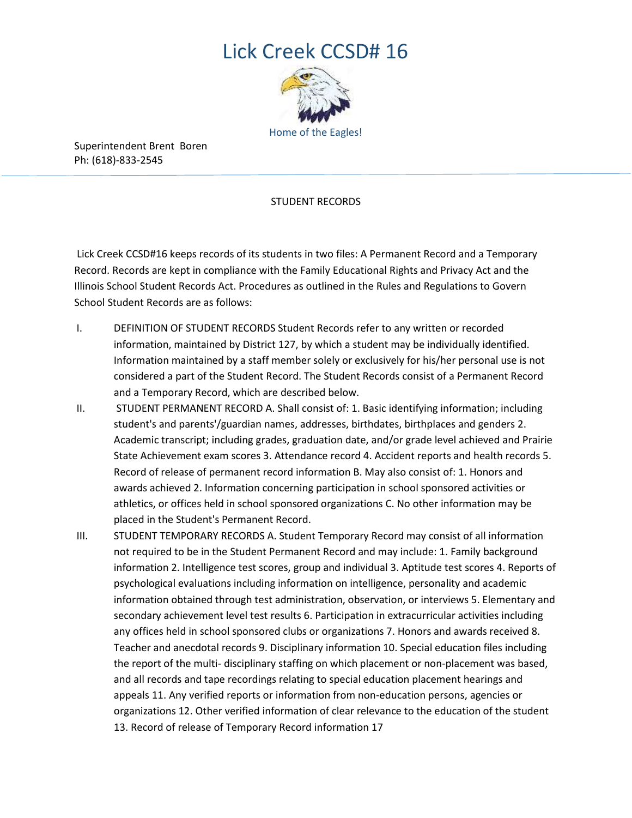# Lick Creek CCSD# 16



Superintendent Brent Boren Ph: (618)-833-2545

## STUDENT RECORDS

Lick Creek CCSD#16 keeps records of its students in two files: A Permanent Record and a Temporary Record. Records are kept in compliance with the Family Educational Rights and Privacy Act and the Illinois School Student Records Act. Procedures as outlined in the Rules and Regulations to Govern School Student Records are as follows:

- I. DEFINITION OF STUDENT RECORDS Student Records refer to any written or recorded information, maintained by District 127, by which a student may be individually identified. Information maintained by a staff member solely or exclusively for his/her personal use is not considered a part of the Student Record. The Student Records consist of a Permanent Record and a Temporary Record, which are described below.
- II. STUDENT PERMANENT RECORD A. Shall consist of: 1. Basic identifying information; including student's and parents'/guardian names, addresses, birthdates, birthplaces and genders 2. Academic transcript; including grades, graduation date, and/or grade level achieved and Prairie State Achievement exam scores 3. Attendance record 4. Accident reports and health records 5. Record of release of permanent record information B. May also consist of: 1. Honors and awards achieved 2. Information concerning participation in school sponsored activities or athletics, or offices held in school sponsored organizations C. No other information may be placed in the Student's Permanent Record.
- III. STUDENT TEMPORARY RECORDS A. Student Temporary Record may consist of all information not required to be in the Student Permanent Record and may include: 1. Family background information 2. Intelligence test scores, group and individual 3. Aptitude test scores 4. Reports of psychological evaluations including information on intelligence, personality and academic information obtained through test administration, observation, or interviews 5. Elementary and secondary achievement level test results 6. Participation in extracurricular activities including any offices held in school sponsored clubs or organizations 7. Honors and awards received 8. Teacher and anecdotal records 9. Disciplinary information 10. Special education files including the report of the multi- disciplinary staffing on which placement or non-placement was based, and all records and tape recordings relating to special education placement hearings and appeals 11. Any verified reports or information from non-education persons, agencies or organizations 12. Other verified information of clear relevance to the education of the student 13. Record of release of Temporary Record information 17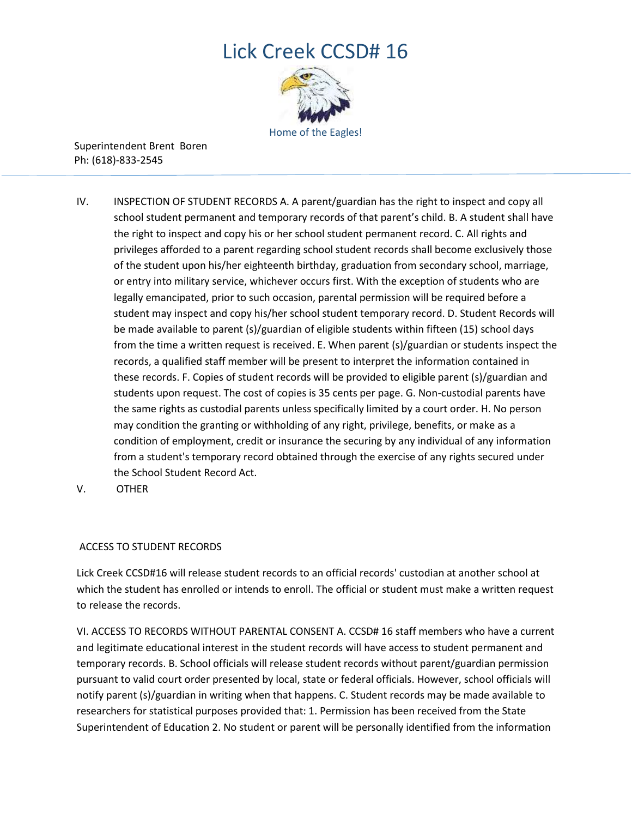# Lick Creek CCSD# 16



Superintendent Brent Boren Ph: (618)-833-2545

- IV. INSPECTION OF STUDENT RECORDS A. A parent/guardian has the right to inspect and copy all school student permanent and temporary records of that parent's child. B. A student shall have the right to inspect and copy his or her school student permanent record. C. All rights and privileges afforded to a parent regarding school student records shall become exclusively those of the student upon his/her eighteenth birthday, graduation from secondary school, marriage, or entry into military service, whichever occurs first. With the exception of students who are legally emancipated, prior to such occasion, parental permission will be required before a student may inspect and copy his/her school student temporary record. D. Student Records will be made available to parent (s)/guardian of eligible students within fifteen (15) school days from the time a written request is received. E. When parent (s)/guardian or students inspect the records, a qualified staff member will be present to interpret the information contained in these records. F. Copies of student records will be provided to eligible parent (s)/guardian and students upon request. The cost of copies is 35 cents per page. G. Non-custodial parents have the same rights as custodial parents unless specifically limited by a court order. H. No person may condition the granting or withholding of any right, privilege, benefits, or make as a condition of employment, credit or insurance the securing by any individual of any information from a student's temporary record obtained through the exercise of any rights secured under the School Student Record Act.
- V. OTHER

## ACCESS TO STUDENT RECORDS

Lick Creek CCSD#16 will release student records to an official records' custodian at another school at which the student has enrolled or intends to enroll. The official or student must make a written request to release the records.

VI. ACCESS TO RECORDS WITHOUT PARENTAL CONSENT A. CCSD# 16 staff members who have a current and legitimate educational interest in the student records will have access to student permanent and temporary records. B. School officials will release student records without parent/guardian permission pursuant to valid court order presented by local, state or federal officials. However, school officials will notify parent (s)/guardian in writing when that happens. C. Student records may be made available to researchers for statistical purposes provided that: 1. Permission has been received from the State Superintendent of Education 2. No student or parent will be personally identified from the information